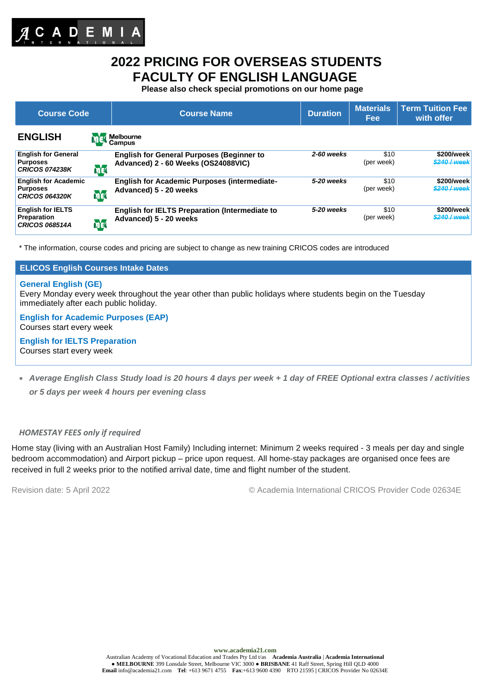

# **2022 PRICING FOR OVERSEAS STUDENTS FACULTY OF ENGLISH LANGUAGE**

**Please also check special promotions on our home page**

| <b>Course Code</b>                                                      |            | <b>Course Name</b>                                                                      | <b>Duration</b> | <b>Materials</b><br><b>Fee</b> | <b>Term Tuition Fee</b><br>with offer |  |
|-------------------------------------------------------------------------|------------|-----------------------------------------------------------------------------------------|-----------------|--------------------------------|---------------------------------------|--|
| <b>ENGLISH</b>                                                          |            | <b>Melbourne</b><br>Campus                                                              |                 |                                |                                       |  |
| <b>English for General</b><br><b>Purposes</b><br><b>CRICOS 074238K</b>  | <b>MEL</b> | <b>English for General Purposes (Beginner to</b><br>Advanced) 2 - 60 Weeks (OS24088VIC) | 2-60 weeks      | \$10<br>(per week)             | \$200/week<br>\$240 / week            |  |
| <b>English for Academic</b><br><b>Purposes</b><br><b>CRICOS 064320K</b> | mer        | <b>English for Academic Purposes (intermediate-</b><br>Advanced) 5 - 20 weeks           | 5-20 weeks      | \$10<br>(per week)             | \$200/week<br>\$240 / week            |  |
| <b>English for IELTS</b><br><b>Preparation</b><br><b>CRICOS 068514A</b> | med        | <b>English for IELTS Preparation (Intermediate to</b><br>Advanced) 5 - 20 weeks         | 5-20 weeks      | \$10<br>(per week)             | \$200/week<br>\$240 / week            |  |

\* The information, course codes and pricing are subject to change as new training CRICOS codes are introduced

# **ELICOS English Courses Intake Dates**

### **General English (GE)**

Every Monday every week throughout the year other than public holidays where students begin on the Tuesday immediately after each public holiday.

# **English for Academic Purposes (EAP)** Courses start every week

**English for IELTS Preparation** Courses start every week

• *Average English Class Study load is 20 hours 4 days per week + 1 day of FREE Optional extra classes / activities or 5 days per week 4 hours per evening class*

# *HOMESTAY FEES only if required*

Home stay (living with an Australian Host Family) Including internet: Minimum 2 weeks required - 3 meals per day and single bedroom accommodation) and Airport pickup – price upon request. All home-stay packages are organised once fees are received in full 2 weeks prior to the notified arrival date, time and flight number of the student.

Revision date: 5 April 2022 © Academia International CRICOS Provider Code 02634E

**www.academia21.com**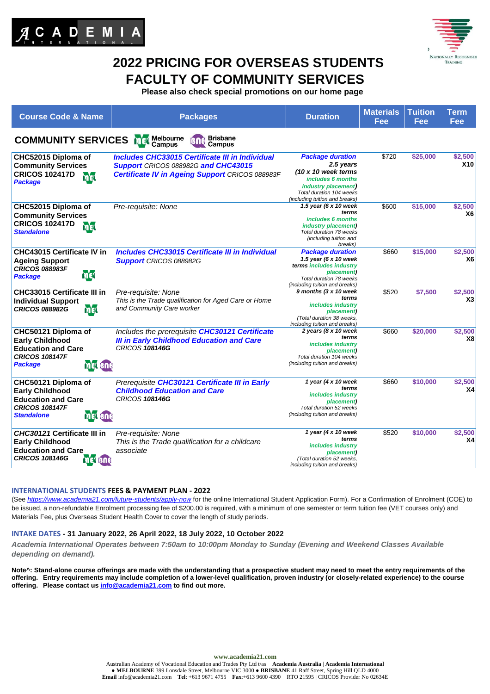



# **2022 PRICING FOR OVERSEAS STUDENTS FACULTY OF COMMUNITY SERVICES**

**Please also check special promotions on our home page**

| <b>Course Code &amp; Name</b>                                                                                                              | <b>Packages</b>                                                                                                                                         | <b>Duration</b>                                                                                                                                                                      | <b>Materials</b><br>Fee | <b>Tuition</b><br>Fee | <b>Term</b><br>Fee        |
|--------------------------------------------------------------------------------------------------------------------------------------------|---------------------------------------------------------------------------------------------------------------------------------------------------------|--------------------------------------------------------------------------------------------------------------------------------------------------------------------------------------|-------------------------|-----------------------|---------------------------|
| <b>COMMUNITY SERVICES</b>                                                                                                                  | <b>Brisbane</b><br>Melbourne<br>Campus<br>Campus                                                                                                        |                                                                                                                                                                                      |                         |                       |                           |
| CHC52015 Diploma of<br><b>Community Services</b><br><b>CRICOS 102417D</b><br><b>ME</b><br><b>Package</b>                                   | <b>Includes CHC33015 Certificate III in Individual</b><br>Support CRICOS 088982G and CHC43015<br><b>Certificate IV in Ageing Support CRICOS 088983F</b> | <b>Package duration</b><br>2.5 years<br>$(10 \times 10$ week terms<br>includes 6 months<br><i>industry placement</i> )<br>Total duration 104 weeks<br>(including tuition and breaks) | \$720                   | \$25,000              | \$2,500<br><b>X10</b>     |
| CHC52015 Diploma of<br><b>Community Services</b><br><b>CRICOS 102417D</b><br>mer<br><b>Standalone</b>                                      | Pre-requisite: None                                                                                                                                     | 1.5 year (6 x 10 week<br>terms<br>includes 6 months<br><i>industry placement)</i><br>Total duration 78 weeks<br>(including tuition and<br>breaks)                                    | \$600                   | \$15,000              | \$2,500<br><b>X6</b>      |
| CHC43015 Certificate IV in<br><b>Ageing Support</b><br><b>CRICOS 088983F</b><br><b>ME</b><br><b>Package</b>                                | <b>Includes CHC33015 Certificate III in Individual</b><br><b>Support</b> CRICOS 088982G                                                                 | <b>Package duration</b><br>1.5 year (6 x 10 week<br>terms includes industry<br>placement)<br>Total duration 78 weeks<br>(including tuition and breaks)                               | \$660                   | \$15,000              | \$2,500<br>X <sub>6</sub> |
| <b>CHC33015 Certificate III in</b><br><b>Individual Support</b><br>mer<br><b>CRICOS 088982G</b>                                            | Pre-requisite: None<br>This is the Trade qualification for Aged Care or Home<br>and Community Care worker                                               | 9 months (3 x 10 week<br>terms<br>includes industry<br>placement)<br>(Total duration 38 weeks,<br>including tuition and breaks)                                                      | \$520                   | \$7,500               | \$2,500<br>X3             |
| CHC50121 Diploma of<br><b>Early Childhood</b><br><b>Education and Care</b><br><b>CRICOS 108147F</b><br><b>MEL BOC</b><br><b>Package</b>    | Includes the prerequisite CHC30121 Certificate<br><b>III in Early Childhood Education and Care</b><br><b>CRICOS 108146G</b>                             | 2 years (8 x 10 week<br>terms<br>includes industry<br>placement)<br>Total duration 104 weeks<br>(including tuition and breaks)                                                       | \$660                   | \$20,000              | \$2,500<br>X8             |
| CHC50121 Diploma of<br><b>Early Childhood</b><br><b>Education and Care</b><br><b>CRICOS 108147F</b><br><b>Standalone</b><br><b>MEL BNG</b> | Prerequisite CHC30121 Certificate III in Early<br><b>Childhood Education and Care</b><br><b>CRICOS 108146G</b>                                          | 1 year (4 $x$ 10 week<br>terms<br>includes industry<br>placement)<br>Total duration 52 weeks<br>(including tuition and breaks)                                                       | \$660                   | \$10,000              | \$2,500<br><b>X4</b>      |
| CHC30121 Certificate III in<br><b>Early Childhood</b><br><b>Education and Care</b><br><b>CRICOS 108146G</b><br><b>MEL BUG</b>              | Pre-requisite: None<br>This is the Trade qualification for a childcare<br>associate                                                                     | 1 year (4 $x$ 10 week<br>terms<br>includes industry<br>placement)<br>(Total duration 52 weeks,<br>including tuition and breaks)                                                      | \$520                   | \$10,000              | \$2,500<br>X4             |

# **INTERNATIONAL STUDENTS FEES & PAYMENT PLAN - 2022**

(See *<https://www.academia21.com/future-students/apply-now>* for the online International Student Application Form). For a Confirmation of Enrolment (COE) to be issued, a non-refundable Enrolment processing fee of \$200.00 is required, with a minimum of one semester or term tuition fee (VET courses only) and Materials Fee, plus Overseas Student Health Cover to cover the length of study periods.

#### **INTAKE DATES - 31 January 2022, 26 April 2022, 18 July 2022, 10 October 2022**

*Academia International Operates between 7:50am to 10:00pm Monday to Sunday (Evening and Weekend Classes Available depending on demand).* 

**Note^: Stand-alone course offerings are made with the understanding that a prospective student may need to meet the entry requirements of the offering. Entry requirements may include completion of a lower-level qualification, proven industry (or closely-related experience) to the course offering. Please contact us [info@academia21.com](mailto:info@academia21.com) to find out more.**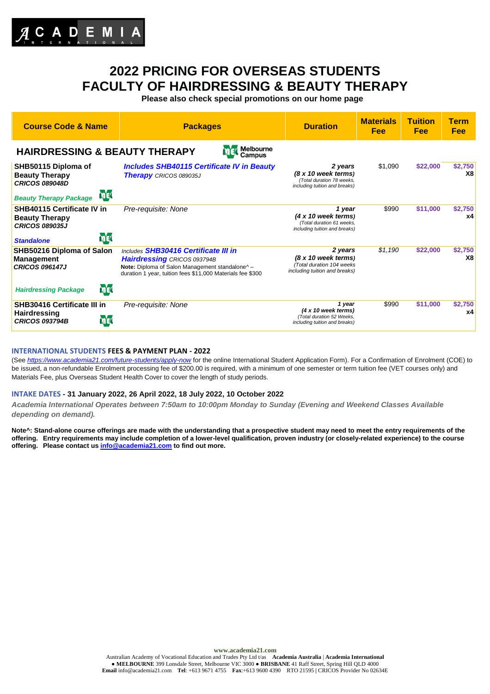

# **2022 PRICING FOR OVERSEAS STUDENTS FACULTY OF HAIRDRESSING & BEAUTY THERAPY**

**Please also check special promotions on our home page**

| <b>Course Code &amp; Name</b>                                                                                        | <b>Packages</b>                                                                                                                                                                             | <b>Duration</b>                                                                                    | <b>Materials</b><br>Fee | Tuition<br><b>Fee</b> | Term<br><b>Fee</b>   |  |
|----------------------------------------------------------------------------------------------------------------------|---------------------------------------------------------------------------------------------------------------------------------------------------------------------------------------------|----------------------------------------------------------------------------------------------------|-------------------------|-----------------------|----------------------|--|
| Melbourne<br><b>HAIRDRESSING &amp; BEAUTY THERAPY</b><br>Campus                                                      |                                                                                                                                                                                             |                                                                                                    |                         |                       |                      |  |
| SHB50115 Diploma of<br><b>Beauty Therapy</b><br><b>CRICOS 089048D</b><br><b>MEL</b><br><b>Beauty Therapy Package</b> | <b>Includes SHB40115 Certificate IV in Beauty</b><br><b>Therapy</b> CRICOS 089035J                                                                                                          | 2 years<br>(8 x 10 week terms)<br>(Total duration 78 weeks.<br>including tuition and breaks)       | \$1,090                 | \$22,000              | \$2,750<br><b>X8</b> |  |
| <b>SHB40115 Certificate IV in</b><br><b>Beauty Therapy</b><br><b>CRICOS 089035J</b><br>med<br><b>Standalone</b>      | Pre-requisite: None                                                                                                                                                                         | 1 year<br>$(4 \times 10$ week terms)<br>(Total duration 61 weeks,<br>including tuition and breaks) | \$990                   | \$11,000              | \$2,750<br><b>x4</b> |  |
| SHB50216 Diploma of Salon<br><b>Management</b><br><b>CRICOS 096147J</b>                                              | Includes SHB30416 Certificate III in<br><b>Hairdressing CRICOS 093794B</b><br>Note: Diploma of Salon Management standalone^ -<br>duration 1 year, tuition fees \$11,000 Materials fee \$300 | 2 years<br>$(8 x 10$ week terms)<br>(Total duration 104 weeks<br>including tuition and breaks)     | \$1,190                 | \$22,000              | \$2,750<br>X8        |  |
| <b>ME</b><br><b>Hairdressing Package</b>                                                                             |                                                                                                                                                                                             |                                                                                                    |                         |                       |                      |  |
| <b>SHB30416 Certificate III in</b><br><b>Hairdressing</b><br><b>mg</b><br><b>CRICOS 093794B</b>                      | Pre-requisite: None                                                                                                                                                                         | 1 year<br>$(4 \times 10$ week terms)<br>(Total duration 52 Weeks.<br>including tuition and breaks) | \$990                   | \$11,000              | \$2,750<br><b>x4</b> |  |

#### **INTERNATIONAL STUDENTS FEES & PAYMENT PLAN - 2022**

(See *<https://www.academia21.com/future-students/apply-now>* for the online International Student Application Form). For a Confirmation of Enrolment (COE) to be issued, a non-refundable Enrolment processing fee of \$200.00 is required, with a minimum of one semester or term tuition fee (VET courses only) and Materials Fee, plus Overseas Student Health Cover to cover the length of study periods.

### **INTAKE DATES - 31 January 2022, 26 April 2022, 18 July 2022, 10 October 2022**

*Academia International Operates between 7:50am to 10:00pm Monday to Sunday (Evening and Weekend Classes Available depending on demand).* 

**Note^: Stand-alone course offerings are made with the understanding that a prospective student may need to meet the entry requirements of the offering. Entry requirements may include completion of a lower-level qualification, proven industry (or closely-related experience) to the course offering. Please contact us [info@academia21.com](mailto:info@academia21.com) to find out more.**

**www.academia21.com**